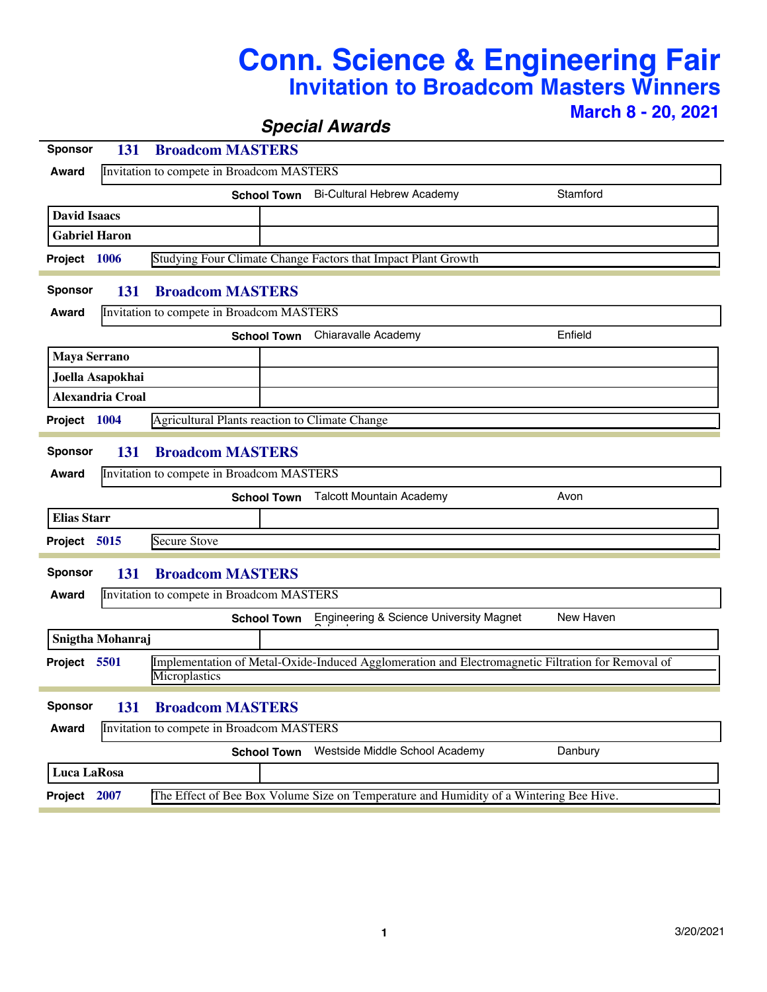## **Conn. Science & Engineering Fair Invitation to Broadcom Masters Winners March 8 - 20, 2021**

*Special Awards*

| <b>Sponsor</b>                                     | 131                                                            | <b>Broadcom MASTERS</b>                                       |                                           |                                                                                                   |           |  |  |
|----------------------------------------------------|----------------------------------------------------------------|---------------------------------------------------------------|-------------------------------------------|---------------------------------------------------------------------------------------------------|-----------|--|--|
| <b>Award</b>                                       |                                                                | Invitation to compete in Broadcom MASTERS                     |                                           |                                                                                                   |           |  |  |
|                                                    |                                                                | <b>School Town</b>                                            |                                           | <b>Bi-Cultural Hebrew Academy</b>                                                                 | Stamford  |  |  |
| <b>David Isaacs</b>                                |                                                                |                                                               |                                           |                                                                                                   |           |  |  |
| <b>Gabriel Haron</b>                               |                                                                |                                                               |                                           |                                                                                                   |           |  |  |
| Project 1006                                       |                                                                | Studying Four Climate Change Factors that Impact Plant Growth |                                           |                                                                                                   |           |  |  |
| <b>Sponsor</b>                                     | 131                                                            | <b>Broadcom MASTERS</b>                                       |                                           |                                                                                                   |           |  |  |
| <b>Award</b>                                       |                                                                |                                                               | Invitation to compete in Broadcom MASTERS |                                                                                                   |           |  |  |
|                                                    |                                                                | <b>School Town</b>                                            |                                           | Chiaravalle Academy                                                                               | Enfield   |  |  |
| <b>Maya Serrano</b>                                |                                                                |                                                               |                                           |                                                                                                   |           |  |  |
| Joella Asapokhai                                   |                                                                |                                                               |                                           |                                                                                                   |           |  |  |
|                                                    | <b>Alexandria Croal</b>                                        |                                                               |                                           |                                                                                                   |           |  |  |
|                                                    | Agricultural Plants reaction to Climate Change<br>Project 1004 |                                                               |                                           |                                                                                                   |           |  |  |
| <b>Sponsor</b><br><b>Broadcom MASTERS</b><br>131   |                                                                |                                                               |                                           |                                                                                                   |           |  |  |
| Invitation to compete in Broadcom MASTERS<br>Award |                                                                |                                                               |                                           |                                                                                                   |           |  |  |
|                                                    |                                                                | <b>School Town</b>                                            |                                           | <b>Talcott Mountain Academy</b>                                                                   | Avon      |  |  |
| <b>Elias Starr</b>                                 |                                                                |                                                               |                                           |                                                                                                   |           |  |  |
| Project 5015                                       |                                                                | <b>Secure Stove</b>                                           |                                           |                                                                                                   |           |  |  |
| <b>Sponsor</b>                                     | 131                                                            | <b>Broadcom MASTERS</b>                                       |                                           |                                                                                                   |           |  |  |
| Award                                              |                                                                | Invitation to compete in Broadcom MASTERS                     |                                           |                                                                                                   |           |  |  |
|                                                    |                                                                | <b>School Town</b>                                            |                                           | Engineering & Science University Magnet                                                           | New Haven |  |  |
|                                                    | Snigtha Mohanraj                                               |                                                               |                                           |                                                                                                   |           |  |  |
| Project 5501<br>Microplastics                      |                                                                |                                                               |                                           | Implementation of Metal-Oxide-Induced Agglomeration and Electromagnetic Filtration for Removal of |           |  |  |
| <b>Sponsor</b>                                     | 131                                                            | <b>Broadcom MASTERS</b>                                       |                                           |                                                                                                   |           |  |  |
|                                                    | Invitation to compete in Broadcom MASTERS<br><b>Award</b>      |                                                               |                                           |                                                                                                   |           |  |  |
| <b>School Town</b>                                 |                                                                |                                                               |                                           | Westside Middle School Academy                                                                    | Danbury   |  |  |
| Luca LaRosa                                        |                                                                |                                                               |                                           |                                                                                                   |           |  |  |
| Project 2007                                       |                                                                |                                                               |                                           | The Effect of Bee Box Volume Size on Temperature and Humidity of a Wintering Bee Hive.            |           |  |  |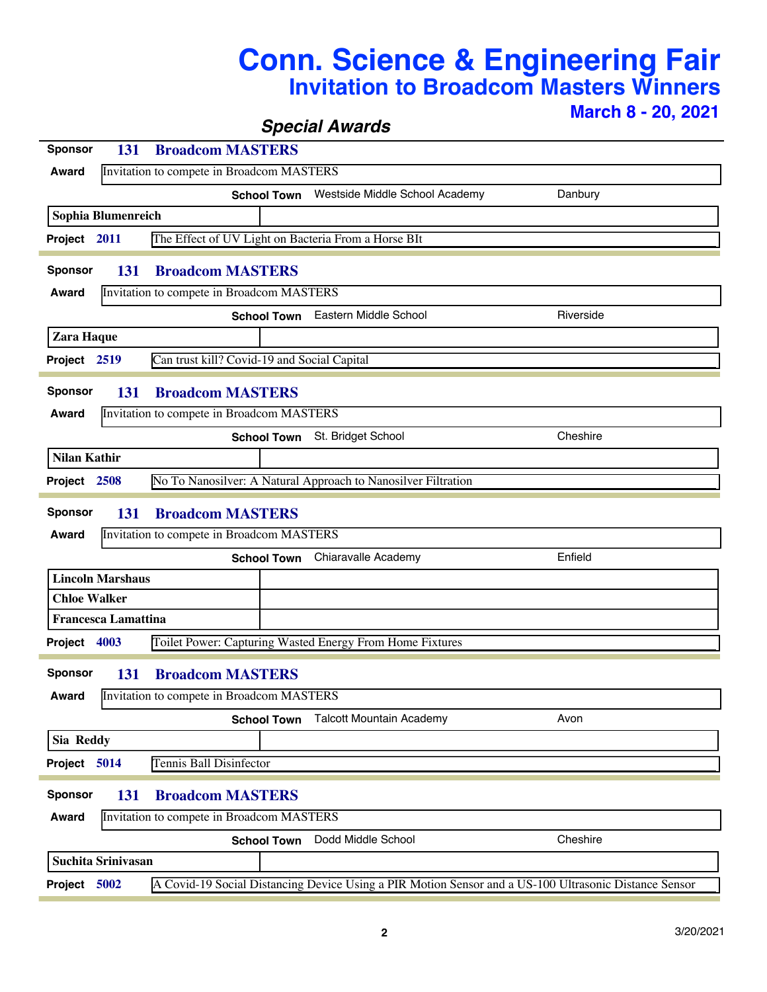## **Conn. Science & Engineering Fair Invitation to Broadcom Masters Winners March 8 - 20, 2021**

*Special Awards*

| <b>Sponsor</b>                                     | <b>Broadcom MASTERS</b><br>131                                |                                                                                                       |           |  |  |  |  |  |
|----------------------------------------------------|---------------------------------------------------------------|-------------------------------------------------------------------------------------------------------|-----------|--|--|--|--|--|
| Award                                              | Invitation to compete in Broadcom MASTERS                     |                                                                                                       |           |  |  |  |  |  |
|                                                    | <b>School Town</b>                                            | Westside Middle School Academy                                                                        | Danbury   |  |  |  |  |  |
| Sophia Blumenreich                                 |                                                               |                                                                                                       |           |  |  |  |  |  |
| Project 2011                                       | The Effect of UV Light on Bacteria From a Horse BIt           |                                                                                                       |           |  |  |  |  |  |
|                                                    |                                                               |                                                                                                       |           |  |  |  |  |  |
| <b>Sponsor</b>                                     | <b>Broadcom MASTERS</b><br>131                                |                                                                                                       |           |  |  |  |  |  |
| Award                                              | Invitation to compete in Broadcom MASTERS                     |                                                                                                       |           |  |  |  |  |  |
|                                                    | <b>School Town</b>                                            | Eastern Middle School                                                                                 | Riverside |  |  |  |  |  |
| Zara Haque                                         |                                                               |                                                                                                       |           |  |  |  |  |  |
| Project 2519                                       | Can trust kill? Covid-19 and Social Capital                   |                                                                                                       |           |  |  |  |  |  |
| <b>Sponsor</b>                                     | 131<br><b>Broadcom MASTERS</b>                                |                                                                                                       |           |  |  |  |  |  |
| Award                                              | Invitation to compete in Broadcom MASTERS                     |                                                                                                       |           |  |  |  |  |  |
|                                                    |                                                               | St. Bridget School                                                                                    | Cheshire  |  |  |  |  |  |
|                                                    | <b>School Town</b>                                            |                                                                                                       |           |  |  |  |  |  |
| <b>Nilan Kathir</b>                                |                                                               |                                                                                                       |           |  |  |  |  |  |
| Project 2508                                       | No To Nanosilver: A Natural Approach to Nanosilver Filtration |                                                                                                       |           |  |  |  |  |  |
| <b>Sponsor</b><br>131<br><b>Broadcom MASTERS</b>   |                                                               |                                                                                                       |           |  |  |  |  |  |
| Award                                              | Invitation to compete in Broadcom MASTERS                     |                                                                                                       |           |  |  |  |  |  |
|                                                    |                                                               | <b>School Town</b> Chiaravalle Academy                                                                | Enfield   |  |  |  |  |  |
| <b>Lincoln Marshaus</b>                            |                                                               |                                                                                                       |           |  |  |  |  |  |
| <b>Chloe Walker</b>                                |                                                               |                                                                                                       |           |  |  |  |  |  |
| <b>Francesca Lamattina</b>                         |                                                               |                                                                                                       |           |  |  |  |  |  |
| Project 4003                                       | Toilet Power: Capturing Wasted Energy From Home Fixtures      |                                                                                                       |           |  |  |  |  |  |
|                                                    |                                                               |                                                                                                       |           |  |  |  |  |  |
| <b>Sponsor</b>                                     | 131<br><b>Broadcom MASTERS</b>                                |                                                                                                       |           |  |  |  |  |  |
| <b>Award</b>                                       | Invitation to compete in Broadcom MASTERS                     |                                                                                                       |           |  |  |  |  |  |
|                                                    | <b>School Town</b>                                            | <b>Talcott Mountain Academy</b>                                                                       | Avon      |  |  |  |  |  |
| Sia Reddy                                          |                                                               |                                                                                                       |           |  |  |  |  |  |
| Project 5014                                       | Tennis Ball Disinfector                                       |                                                                                                       |           |  |  |  |  |  |
|                                                    |                                                               |                                                                                                       |           |  |  |  |  |  |
| <b>Sponsor</b><br><b>Broadcom MASTERS</b><br>131   |                                                               |                                                                                                       |           |  |  |  |  |  |
| Invitation to compete in Broadcom MASTERS<br>Award |                                                               |                                                                                                       |           |  |  |  |  |  |
|                                                    | <b>School Town</b>                                            | Dodd Middle School                                                                                    | Cheshire  |  |  |  |  |  |
| <b>Suchita Srinivasan</b>                          |                                                               |                                                                                                       |           |  |  |  |  |  |
| Project 5002                                       |                                                               | A Covid-19 Social Distancing Device Using a PIR Motion Sensor and a US-100 Ultrasonic Distance Sensor |           |  |  |  |  |  |